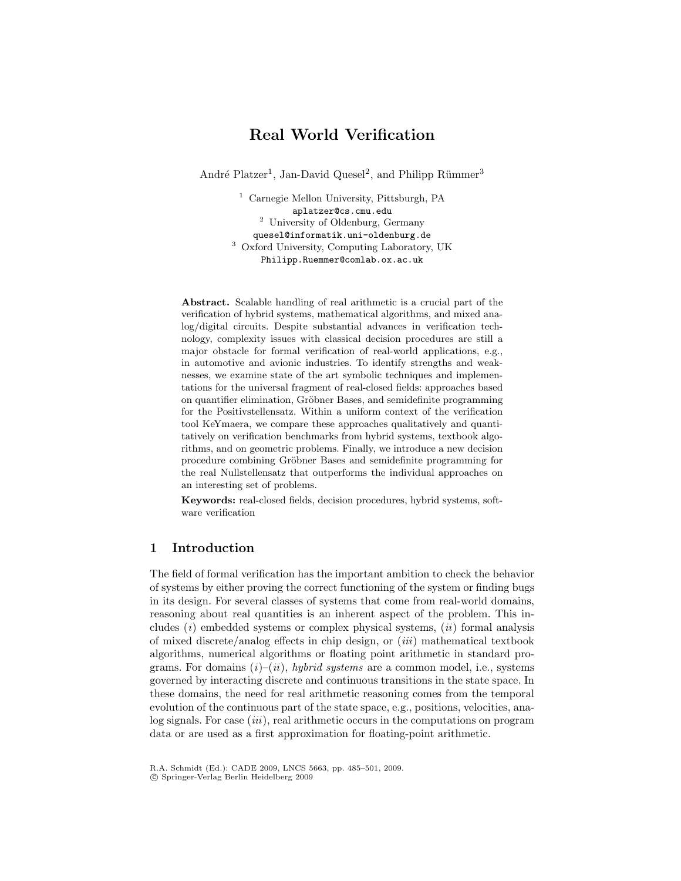# Real World Verification

André Platzer<sup>1</sup>, Jan-David Quesel<sup>2</sup>, and Philipp Rümmer<sup>3</sup>

<sup>1</sup> Carnegie Mellon University, Pittsburgh, PA aplatzer@cs.cmu.edu <sup>2</sup> University of Oldenburg, Germany quesel@informatik.uni-oldenburg.de <sup>3</sup> Oxford University, Computing Laboratory, UK Philipp.Ruemmer@comlab.ox.ac.uk

Abstract. Scalable handling of real arithmetic is a crucial part of the verification of hybrid systems, mathematical algorithms, and mixed analog/digital circuits. Despite substantial advances in verification technology, complexity issues with classical decision procedures are still a major obstacle for formal verification of real-world applications, e.g., in automotive and avionic industries. To identify strengths and weaknesses, we examine state of the art symbolic techniques and implementations for the universal fragment of real-closed fields: approaches based on quantifier elimination, Gröbner Bases, and semidefinite programming for the Positivstellensatz. Within a uniform context of the verification tool KeYmaera, we compare these approaches qualitatively and quantitatively on verification benchmarks from hybrid systems, textbook algorithms, and on geometric problems. Finally, we introduce a new decision procedure combining Gröbner Bases and semidefinite programming for the real Nullstellensatz that outperforms the individual approaches on an interesting set of problems.

Keywords: real-closed fields, decision procedures, hybrid systems, software verification

# 1 Introduction

The field of formal verification has the important ambition to check the behavior of systems by either proving the correct functioning of the system or finding bugs in its design. For several classes of systems that come from real-world domains, reasoning about real quantities is an inherent aspect of the problem. This includes  $(i)$  embedded systems or complex physical systems,  $(ii)$  formal analysis of mixed discrete/analog effects in chip design, or (iii) mathematical textbook algorithms, numerical algorithms or floating point arithmetic in standard programs. For domains  $(i)$ – $(ii)$ , hybrid systems are a common model, i.e., systems governed by interacting discrete and continuous transitions in the state space. In these domains, the need for real arithmetic reasoning comes from the temporal evolution of the continuous part of the state space, e.g., positions, velocities, analog signals. For case *(iii)*, real arithmetic occurs in the computations on program data or are used as a first approximation for floating-point arithmetic.

R.A. Schmidt (Ed.): CADE 2009, LNCS 5663, pp. 485–501, 2009.

c Springer-Verlag Berlin Heidelberg 2009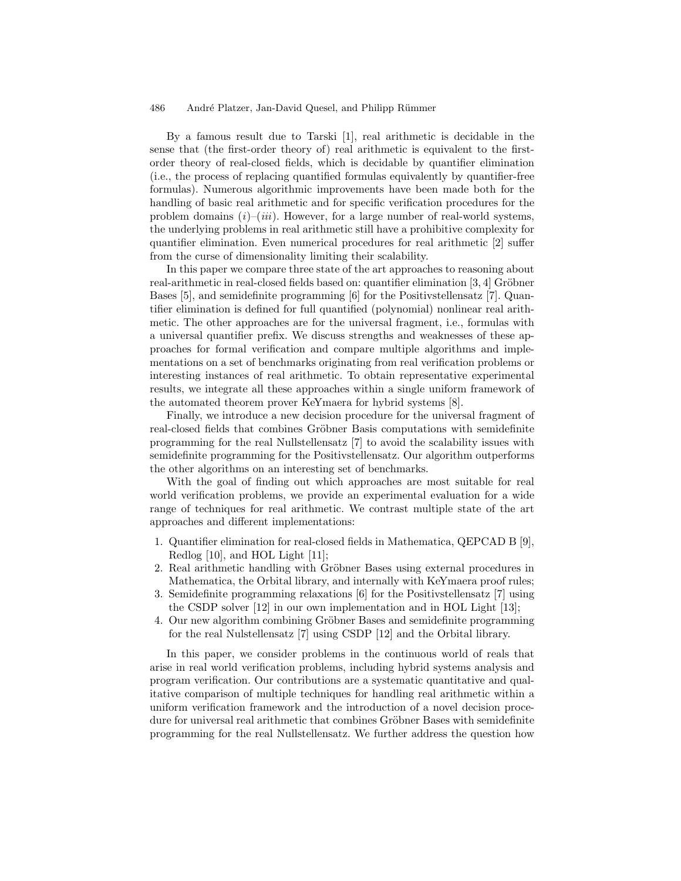By a famous result due to Tarski [1], real arithmetic is decidable in the sense that (the first-order theory of) real arithmetic is equivalent to the firstorder theory of real-closed fields, which is decidable by quantifier elimination (i.e., the process of replacing quantified formulas equivalently by quantifier-free formulas). Numerous algorithmic improvements have been made both for the handling of basic real arithmetic and for specific verification procedures for the problem domains  $(i)-(iii)$ . However, for a large number of real-world systems, the underlying problems in real arithmetic still have a prohibitive complexity for quantifier elimination. Even numerical procedures for real arithmetic [2] suffer from the curse of dimensionality limiting their scalability.

In this paper we compare three state of the art approaches to reasoning about real-arithmetic in real-closed fields based on: quantifier elimination  $[3, 4]$  Gröbner Bases [5], and semidefinite programming [6] for the Positivstellensatz [7]. Quantifier elimination is defined for full quantified (polynomial) nonlinear real arithmetic. The other approaches are for the universal fragment, i.e., formulas with a universal quantifier prefix. We discuss strengths and weaknesses of these approaches for formal verification and compare multiple algorithms and implementations on a set of benchmarks originating from real verification problems or interesting instances of real arithmetic. To obtain representative experimental results, we integrate all these approaches within a single uniform framework of the automated theorem prover KeYmaera for hybrid systems [8].

Finally, we introduce a new decision procedure for the universal fragment of real-closed fields that combines Gröbner Basis computations with semidefinite programming for the real Nullstellensatz [7] to avoid the scalability issues with semidefinite programming for the Positivstellensatz. Our algorithm outperforms the other algorithms on an interesting set of benchmarks.

With the goal of finding out which approaches are most suitable for real world verification problems, we provide an experimental evaluation for a wide range of techniques for real arithmetic. We contrast multiple state of the art approaches and different implementations:

- 1. Quantifier elimination for real-closed fields in Mathematica, QEPCAD B [9], Redlog [10], and HOL Light [11];
- 2. Real arithmetic handling with Gröbner Bases using external procedures in Mathematica, the Orbital library, and internally with KeYmaera proof rules;
- 3. Semidefinite programming relaxations [6] for the Positivstellensatz [7] using the CSDP solver [12] in our own implementation and in HOL Light [13];
- 4. Our new algorithm combining Gröbner Bases and semidefinite programming for the real Nulstellensatz [7] using CSDP [12] and the Orbital library.

In this paper, we consider problems in the continuous world of reals that arise in real world verification problems, including hybrid systems analysis and program verification. Our contributions are a systematic quantitative and qualitative comparison of multiple techniques for handling real arithmetic within a uniform verification framework and the introduction of a novel decision procedure for universal real arithmetic that combines Gröbner Bases with semidefinite programming for the real Nullstellensatz. We further address the question how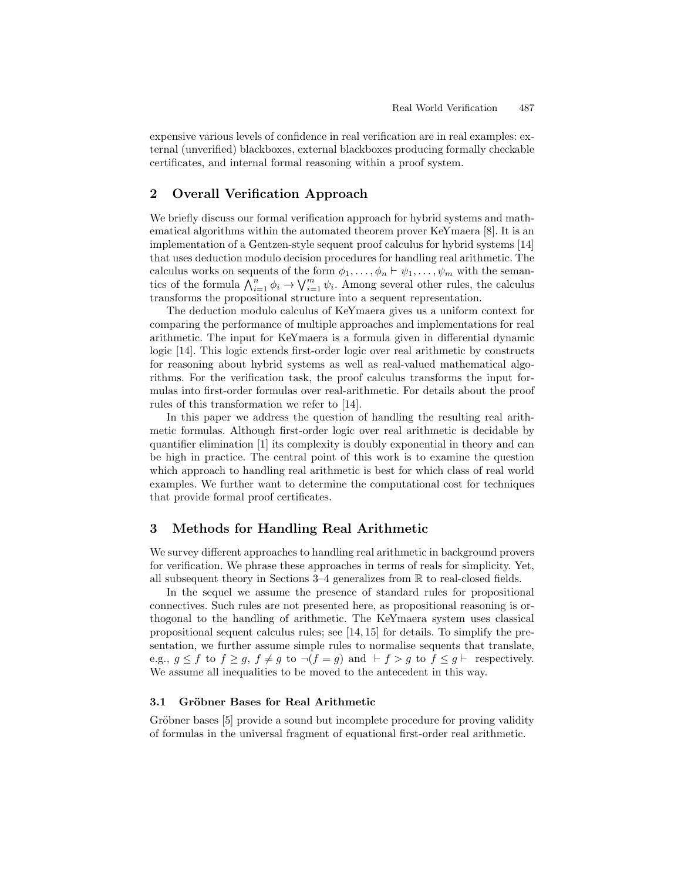expensive various levels of confidence in real verification are in real examples: external (unverified) blackboxes, external blackboxes producing formally checkable certificates, and internal formal reasoning within a proof system.

# 2 Overall Verification Approach

We briefly discuss our formal verification approach for hybrid systems and mathematical algorithms within the automated theorem prover KeYmaera [8]. It is an implementation of a Gentzen-style sequent proof calculus for hybrid systems [14] that uses deduction modulo decision procedures for handling real arithmetic. The calculus works on sequents of the form  $\phi_1, \ldots, \phi_n \vdash \psi_1, \ldots, \psi_m$  with the semantics of the formula  $\bigwedge_{i=1}^n \phi_i \to \bigvee_{i=1}^m \psi_i$ . Among several other rules, the calculus transforms the propositional structure into a sequent representation.

The deduction modulo calculus of KeYmaera gives us a uniform context for comparing the performance of multiple approaches and implementations for real arithmetic. The input for KeYmaera is a formula given in differential dynamic logic [14]. This logic extends first-order logic over real arithmetic by constructs for reasoning about hybrid systems as well as real-valued mathematical algorithms. For the verification task, the proof calculus transforms the input formulas into first-order formulas over real-arithmetic. For details about the proof rules of this transformation we refer to [14].

In this paper we address the question of handling the resulting real arithmetic formulas. Although first-order logic over real arithmetic is decidable by quantifier elimination [1] its complexity is doubly exponential in theory and can be high in practice. The central point of this work is to examine the question which approach to handling real arithmetic is best for which class of real world examples. We further want to determine the computational cost for techniques that provide formal proof certificates.

# 3 Methods for Handling Real Arithmetic

We survey different approaches to handling real arithmetic in background provers for verification. We phrase these approaches in terms of reals for simplicity. Yet, all subsequent theory in Sections 3–4 generalizes from R to real-closed fields.

In the sequel we assume the presence of standard rules for propositional connectives. Such rules are not presented here, as propositional reasoning is orthogonal to the handling of arithmetic. The KeYmaera system uses classical propositional sequent calculus rules; see [14, 15] for details. To simplify the presentation, we further assume simple rules to normalise sequents that translate, e.g.,  $g \leq f$  to  $f \geq g$ ,  $f \neq g$  to  $\neg(f = g)$  and  $\nvdash f > g$  to  $f \leq g \vdash$  respectively. We assume all inequalities to be moved to the antecedent in this way.

### 3.1 Gröbner Bases for Real Arithmetic

Gröbner bases [5] provide a sound but incomplete procedure for proving validity of formulas in the universal fragment of equational first-order real arithmetic.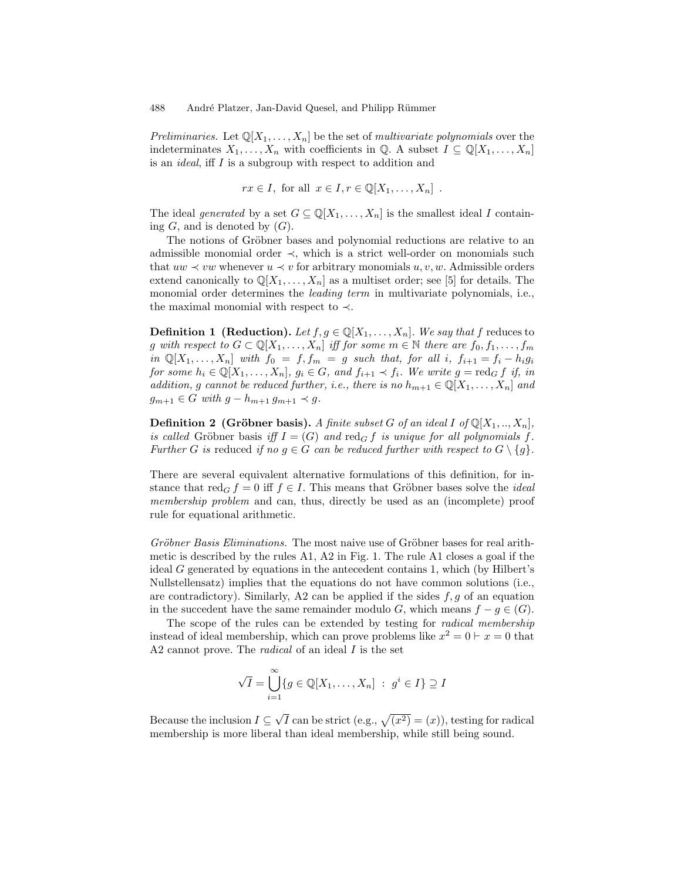Preliminaries. Let  $\mathbb{Q}[X_1,\ldots,X_n]$  be the set of multivariate polynomials over the indeterminates  $X_1, \ldots, X_n$  with coefficients in Q. A subset  $I \subseteq \mathbb{Q}[X_1, \ldots, X_n]$ is an ideal, iff I is a subgroup with respect to addition and

$$
rx \in I
$$
, for all  $x \in I, r \in \mathbb{Q}[X_1, \ldots, X_n]$ .

The ideal generated by a set  $G \subseteq \mathbb{Q}[X_1,\ldots,X_n]$  is the smallest ideal I containing  $G$ , and is denoted by  $(G)$ .

The notions of Gröbner bases and polynomial reductions are relative to an admissible monomial order ≺, which is a strict well-order on monomials such that  $uw \prec vw$  whenever  $u \prec v$  for arbitrary monomials  $u, v, w$ . Admissible orders extend canonically to  $\mathbb{Q}[X_1,\ldots,X_n]$  as a multiset order; see [5] for details. The monomial order determines the *leading term* in multivariate polynomials, i.e., the maximal monomial with respect to  $\prec$ .

**Definition 1** (Reduction). Let  $f, g \in \mathbb{Q}[X_1, \ldots, X_n]$ . We say that f reduces to g with respect to  $G \subset \mathbb{Q}[X_1,\ldots,X_n]$  iff for some  $m \in \mathbb{N}$  there are  $f_0, f_1, \ldots, f_m$ in  $\mathbb{Q}[X_1,\ldots,X_n]$  with  $f_0 = f, f_m = g$  such that, for all i,  $f_{i+1} = f_i - h_i g_i$ for some  $h_i \in \mathbb{Q}[X_1,\ldots,X_n]$ ,  $g_i \in G$ , and  $f_{i+1} \prec f_i$ . We write  $g = \text{red}_G f$  if, in addition, g cannot be reduced further, i.e., there is no  $h_{m+1} \in \mathbb{Q}[X_1, \ldots, X_n]$  and  $g_{m+1} \in G$  with  $g - h_{m+1} g_{m+1} \prec g$ .

**Definition 2 (Gröbner basis).** A finite subset G of an ideal I of  $\mathbb{Q}[X_1, ..., X_n]$ , is called Gröbner basis iff  $I = (G)$  and red<sub>G</sub> f is unique for all polynomials f. Further G is reduced if no  $g \in G$  can be reduced further with respect to  $G \setminus \{g\}$ .

There are several equivalent alternative formulations of this definition, for instance that  $\text{red}_G f = 0$  iff  $f \in I$ . This means that Gröbner bases solve the *ideal* membership problem and can, thus, directly be used as an (incomplete) proof rule for equational arithmetic.

Gröbner Basis Eliminations. The most naive use of Gröbner bases for real arithmetic is described by the rules A1, A2 in Fig. 1. The rule A1 closes a goal if the ideal G generated by equations in the antecedent contains 1, which (by Hilbert's Nullstellensatz) implies that the equations do not have common solutions (i.e., are contradictory). Similarly, A2 can be applied if the sides  $f, g$  of an equation in the succedent have the same remainder modulo G, which means  $f - g \in (G)$ .

The scope of the rules can be extended by testing for radical membership instead of ideal membership, which can prove problems like  $x^2 = 0 \vdash x = 0$  that A2 cannot prove. The *radical* of an ideal I is the set

$$
\sqrt{I} = \bigcup_{i=1}^{\infty} \{ g \in \mathbb{Q}[X_1, \dots, X_n] : g^i \in I \} \supseteq I
$$

Because the inclusion  $I \subseteq$  $\sqrt{I}$  can be strict (e.g.,  $\sqrt{(x^2)} = (x)$ ), testing for radical membership is more liberal than ideal membership, while still being sound.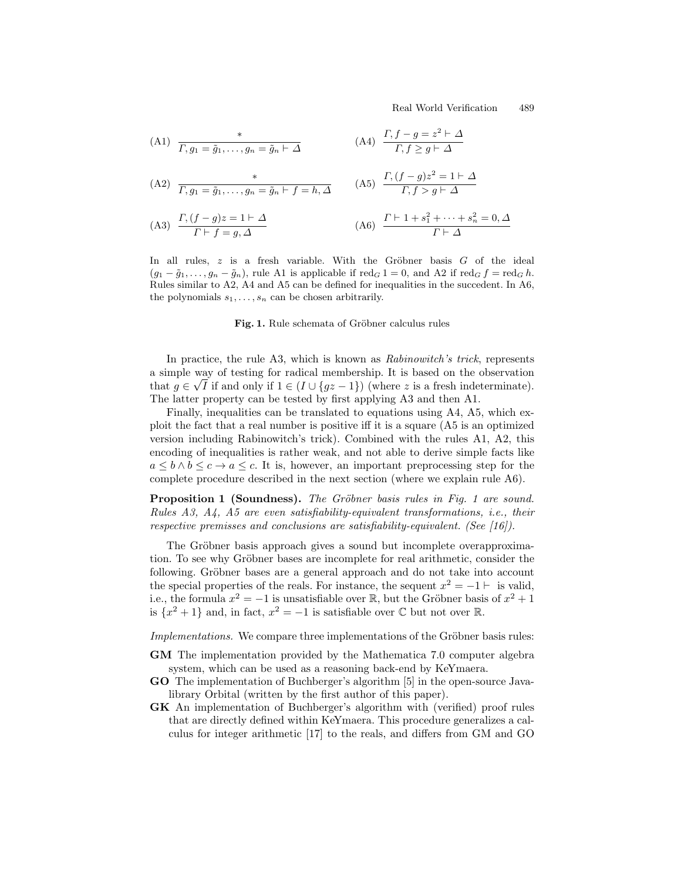Real World Verification 489

(A1) 
$$
\frac{*}{\Gamma, g_1 = \tilde{g}_1, \dots, g_n = \tilde{g}_n \vdash \Delta}
$$
  
\n(A2) 
$$
\frac{*}{\Gamma, g_1 = \tilde{g}_1, \dots, g_n = \tilde{g}_n \vdash f = h, \Delta}
$$
  
\n(A3) 
$$
\frac{\Gamma, (f - g)z^2 = 1 \vdash \Delta}{\Gamma, f > g \vdash \Delta}
$$
  
\n(A4) 
$$
\frac{\Gamma, (f - g)z^2 = 1 \vdash \Delta}{\Gamma, f > g \vdash \Delta}
$$
  
\n(A5) 
$$
\frac{\Gamma, (f - g)z^2 = 1 \vdash \Delta}{\Gamma, f > g \vdash \Delta}
$$
  
\n(A6) 
$$
\frac{\Gamma \vdash 1 + s_1^2 + \dots + s_n^2 = 0, \Delta}{\Gamma, f > g \vdash \Delta}
$$

$$
(A3) \quad \frac{1, (j - g)z - 1 + 2}{\Gamma + f = g, \Delta} \tag{A6} \quad \frac{1 + 1 + s_1 + \dots + s_n - 0, \Delta}{\Gamma + \Delta}
$$

In all rules,  $z$  is a fresh variable. With the Gröbner basis  $G$  of the ideal  $(g_1 - \tilde{g}_1, \ldots, g_n - \tilde{g}_n)$ , rule A1 is applicable if red<sub>G</sub> 1 = 0, and A2 if red<sub>G</sub> f = red<sub>G</sub> h. Rules similar to A2, A4 and A5 can be defined for inequalities in the succedent. In A6, the polynomials  $s_1, \ldots, s_n$  can be chosen arbitrarily.

Fig. 1. Rule schemata of Gröbner calculus rules

In practice, the rule A3, which is known as Rabinowitch's trick, represents a simple way of testing for radical membership. It is based on the observation √ that  $g \in \sqrt{I}$  if and only if  $1 \in (I \cup \{gz-1\})$  (where z is a fresh indeterminate). The latter property can be tested by first applying A3 and then A1.

Finally, inequalities can be translated to equations using A4, A5, which exploit the fact that a real number is positive iff it is a square (A5 is an optimized version including Rabinowitch's trick). Combined with the rules A1, A2, this encoding of inequalities is rather weak, and not able to derive simple facts like  $a \leq b \land b \leq c \rightarrow a \leq c$ . It is, however, an important preprocessing step for the complete procedure described in the next section (where we explain rule A6).

**Proposition 1 (Soundness).** The Gröbner basis rules in Fig. 1 are sound. Rules A3, A4, A5 are even satisfiability-equivalent transformations, i.e., their respective premisses and conclusions are satisfiability-equivalent. (See  $[16]$ ).

The Gröbner basis approach gives a sound but incomplete overapproximation. To see why Gröbner bases are incomplete for real arithmetic, consider the following. Gröbner bases are a general approach and do not take into account the special properties of the reals. For instance, the sequent  $x^2 = -1$   $\vdash$  is valid, i.e., the formula  $x^2 = -1$  is unsatisfiable over R, but the Gröbner basis of  $x^2 + 1$ is  $\{x^2 + 1\}$  and, in fact,  $x^2 = -1$  is satisfiable over  $\mathbb C$  but not over  $\mathbb R$ .

Implementations. We compare three implementations of the Gröbner basis rules:

- GM The implementation provided by the Mathematica 7.0 computer algebra system, which can be used as a reasoning back-end by KeYmaera.
- GO The implementation of Buchberger's algorithm [5] in the open-source Javalibrary Orbital (written by the first author of this paper).
- GK An implementation of Buchberger's algorithm with (verified) proof rules that are directly defined within KeYmaera. This procedure generalizes a calculus for integer arithmetic [17] to the reals, and differs from GM and GO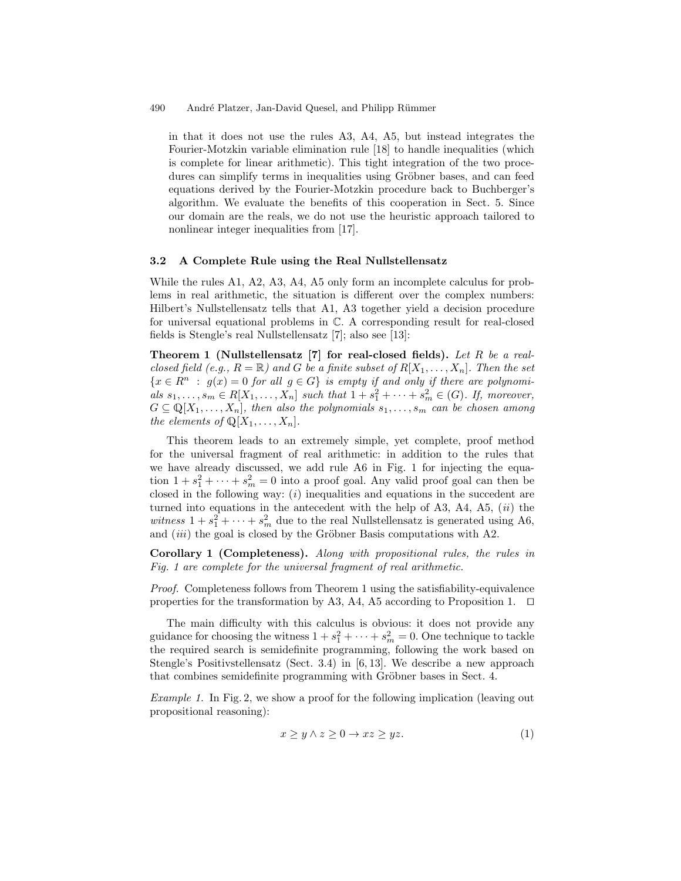in that it does not use the rules A3, A4, A5, but instead integrates the Fourier-Motzkin variable elimination rule [18] to handle inequalities (which is complete for linear arithmetic). This tight integration of the two procedures can simplify terms in inequalities using Gröbner bases, and can feed equations derived by the Fourier-Motzkin procedure back to Buchberger's algorithm. We evaluate the benefits of this cooperation in Sect. 5. Since our domain are the reals, we do not use the heuristic approach tailored to nonlinear integer inequalities from [17].

#### 3.2 A Complete Rule using the Real Nullstellensatz

While the rules A1, A2, A3, A4, A5 only form an incomplete calculus for problems in real arithmetic, the situation is different over the complex numbers: Hilbert's Nullstellensatz tells that A1, A3 together yield a decision procedure for universal equational problems in C. A corresponding result for real-closed fields is Stengle's real Nullstellensatz [7]; also see [13]:

Theorem 1 (Nullstellensatz [7] for real-closed fields). Let R be a realclosed field (e.g.,  $R = \mathbb{R}$ ) and G be a finite subset of  $R[X_1, \ldots, X_n]$ . Then the set  ${x \in R^n : g(x) = 0 \text{ for all } g \in G}$  is empty if and only if there are polynomials  $s_1, ..., s_m \in R[X_1, ..., X_n]$  such that  $1 + s_1^2 + ... + s_m^2 \in (G)$ . If, moreover,  $G \subseteq \mathbb{Q}[X_1,\ldots,X_n]$ , then also the polynomials  $s_1,\ldots,s_m$  can be chosen among the elements of  $\mathbb{Q}[X_1, \ldots, X_n]$ .

This theorem leads to an extremely simple, yet complete, proof method for the universal fragment of real arithmetic: in addition to the rules that we have already discussed, we add rule A6 in Fig. 1 for injecting the equation  $1 + s_1^2 + \cdots + s_m^2 = 0$  into a proof goal. Any valid proof goal can then be closed in the following way:  $(i)$  inequalities and equations in the succedent are turned into equations in the antecedent with the help of A3, A4, A5,  $(ii)$  the witness  $1 + s_1^2 + \cdots + s_m^2$  due to the real Nullstellensatz is generated using A6, and  $(iii)$  the goal is closed by the Gröbner Basis computations with A2.

Corollary 1 (Completeness). Along with propositional rules, the rules in Fig. 1 are complete for the universal fragment of real arithmetic.

Proof. Completeness follows from Theorem 1 using the satisfiability-equivalence properties for the transformation by A3, A4, A5 according to Proposition 1.  $\Box$ 

The main difficulty with this calculus is obvious: it does not provide any guidance for choosing the witness  $1 + s_1^2 + \cdots + s_m^2 = 0$ . One technique to tackle the required search is semidefinite programming, following the work based on Stengle's Positivstellensatz (Sect. 3.4) in [6, 13]. We describe a new approach that combines semidefinite programming with Gröbner bases in Sect. 4.

Example 1. In Fig. 2, we show a proof for the following implication (leaving out propositional reasoning):

$$
x \ge y \land z \ge 0 \to xz \ge yz. \tag{1}
$$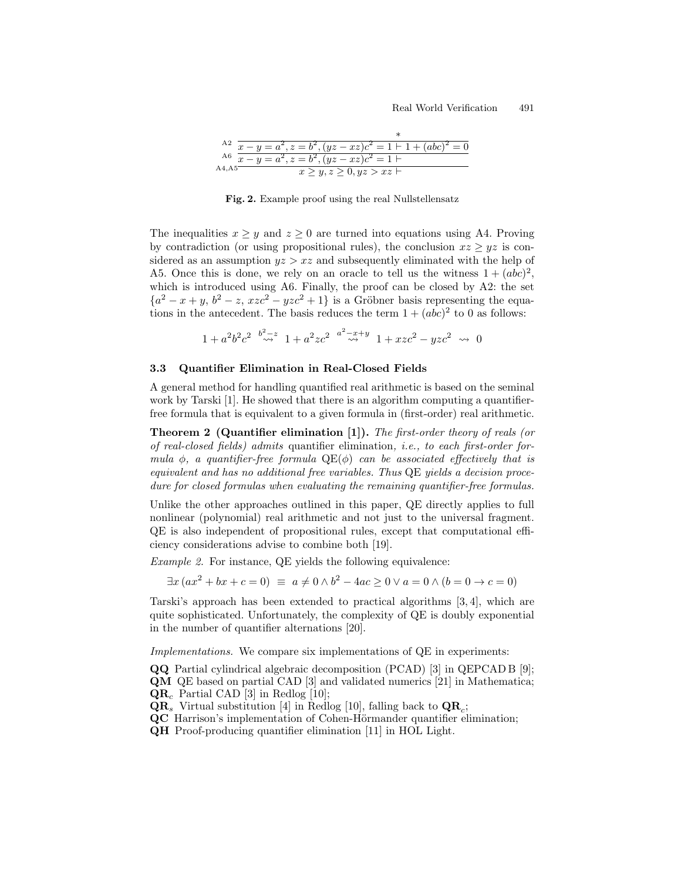|        | A2 $\overline{x-y} = a^2, z = b^2, (yz-xz)c^2 = 1+1+(abc)^2 = 0$ |
|--------|------------------------------------------------------------------|
|        | A6 $x - y = a^2, z = b^2, (yz - xz)c^2 = 1$                      |
| A4, A5 | x > y, z > 0, yz > xz                                            |

Fig. 2. Example proof using the real Nullstellensatz

The inequalities  $x \geq y$  and  $z \geq 0$  are turned into equations using A4. Proving by contradiction (or using propositional rules), the conclusion  $xz \geq yz$  is considered as an assumption  $yz > xz$  and subsequently eliminated with the help of A5. Once this is done, we rely on an oracle to tell us the witness  $1 + (abc)^2$ , which is introduced using A6. Finally, the proof can be closed by A2: the set  ${a<sup>2</sup> - x + y, b<sup>2</sup> - z, xzc<sup>2</sup> - yzc<sup>2</sup> + 1}$  is a Gröbner basis representing the equations in the antecedent. The basis reduces the term  $1 + (abc)^2$  to 0 as follows:

$$
1 + a^2b^2c^2 \stackrel{b^2-z}{\leadsto} 1 + a^2zc^2 \stackrel{a^2-x+y}{\leadsto} 1 + xzc^2 - yzc^2 \leadsto 0
$$

#### 3.3 Quantifier Elimination in Real-Closed Fields

A general method for handling quantified real arithmetic is based on the seminal work by Tarski [1]. He showed that there is an algorithm computing a quantifierfree formula that is equivalent to a given formula in (first-order) real arithmetic.

Theorem 2 (Quantifier elimination [1]). The first-order theory of reals (or of real-closed fields) admits quantifier elimination, i.e., to each first-order formula  $\phi$ , a quantifier-free formula  $\text{QE}(\phi)$  can be associated effectively that is equivalent and has no additional free variables. Thus QE yields a decision procedure for closed formulas when evaluating the remaining quantifier-free formulas.

Unlike the other approaches outlined in this paper, QE directly applies to full nonlinear (polynomial) real arithmetic and not just to the universal fragment. QE is also independent of propositional rules, except that computational efficiency considerations advise to combine both [19].

Example 2. For instance, QE yields the following equivalence:

 $\exists x (ax^2 + bx + c = 0) \equiv a \neq 0 \wedge b^2 - 4ac \geq 0 \vee a = 0 \wedge (b = 0 \rightarrow c = 0)$ 

Tarski's approach has been extended to practical algorithms [3, 4], which are quite sophisticated. Unfortunately, the complexity of QE is doubly exponential in the number of quantifier alternations [20].

Implementations. We compare six implementations of QE in experiments:

QQ Partial cylindrical algebraic decomposition (PCAD) [3] in QEPCAD B [9]; QM QE based on partial CAD [3] and validated numerics [21] in Mathematica;  $QR_c$  Partial CAD [3] in Redlog [10];

 $\mathbf{QR}_s$  Virtual substitution [4] in Redlog [10], falling back to  $\mathbf{QR}_c$ ;

QC Harrison's implementation of Cohen-Hörmander quantifier elimination;

QH Proof-producing quantifier elimination [11] in HOL Light.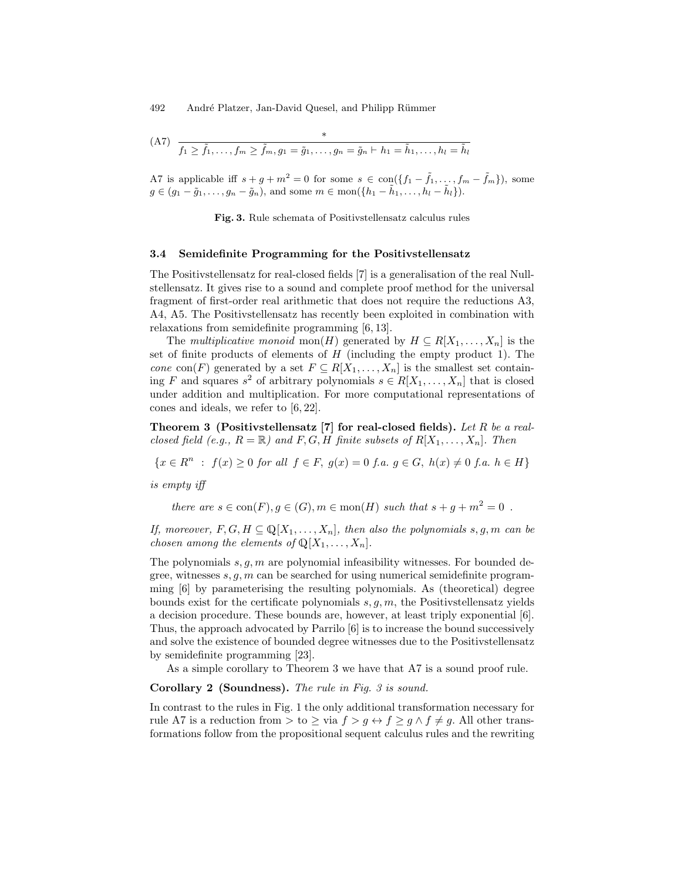$$
(A7) \quad \frac{*}{f_1 \geq \tilde{f}_1, \dots, f_m \geq \tilde{f}_m, g_1 = \tilde{g}_1, \dots, g_n = \tilde{g}_n \vdash h_1 = \tilde{h}_1, \dots, h_l = \tilde{h}_l}
$$

A7 is applicable iff  $s + g + m^2 = 0$  for some  $s \in \text{con}(\lbrace f_1 - \tilde{f}_1, \ldots, f_m - \tilde{f}_m \rbrace)$ , some  $g \in (g_1 - \tilde{g}_1, \ldots, g_n - \tilde{g}_n)$ , and some  $m \in \text{mon}(\lbrace h_1 - \tilde{h}_1, \ldots, h_l - \tilde{h}_l \rbrace)$ .

Fig. 3. Rule schemata of Positivstellensatz calculus rules

#### 3.4 Semidefinite Programming for the Positivstellensatz

The Positivstellensatz for real-closed fields [7] is a generalisation of the real Nullstellensatz. It gives rise to a sound and complete proof method for the universal fragment of first-order real arithmetic that does not require the reductions A3, A4, A5. The Positivstellensatz has recently been exploited in combination with relaxations from semidefinite programming [6, 13].

The multiplicative monoid mon(H) generated by  $H \subseteq R[X_1, \ldots, X_n]$  is the set of finite products of elements of  $H$  (including the empty product 1). The cone con(F) generated by a set  $F \subseteq R[X_1, \ldots, X_n]$  is the smallest set containing F and squares  $s^2$  of arbitrary polynomials  $s \in R[X_1, \ldots, X_n]$  that is closed under addition and multiplication. For more computational representations of cones and ideals, we refer to [6, 22].

Theorem 3 (Positivstellensatz  $[7]$  for real-closed fields). Let R be a realclosed field (e.g.,  $R = \mathbb{R}$ ) and  $F, G, H$  finite subsets of  $R[X_1, \ldots, X_n]$ . Then

 ${x \in R^n : f(x) \geq 0 \text{ for all } f \in F, g(x) = 0 \text{ f.a. } g \in G, h(x) \neq 0 \text{ f.a. } h \in H}$ 

is empty iff

there are  $s \in \text{con}(F)$ ,  $g \in (G)$ ,  $m \in \text{mon}(H)$  such that  $s + g + m^2 = 0$ .

If, moreover,  $F, G, H \subseteq \mathbb{Q}[X_1, \ldots, X_n]$ , then also the polynomials s, g, m can be chosen among the elements of  $\mathbb{Q}[X_1, \ldots, X_n]$ .

The polynomials  $s, g, m$  are polynomial infeasibility witnesses. For bounded degree, witnesses  $s, g, m$  can be searched for using numerical semidefinite programming [6] by parameterising the resulting polynomials. As (theoretical) degree bounds exist for the certificate polynomials  $s, q, m$ , the Positivstellensatz yields a decision procedure. These bounds are, however, at least triply exponential [6]. Thus, the approach advocated by Parrilo [6] is to increase the bound successively and solve the existence of bounded degree witnesses due to the Positivstellensatz by semidefinite programming [23].

As a simple corollary to Theorem 3 we have that A7 is a sound proof rule.

Corollary 2 (Soundness). The rule in Fig. 3 is sound.

In contrast to the rules in Fig. 1 the only additional transformation necessary for rule A7 is a reduction from > to  $\geq$  via  $f > g \leftrightarrow f \geq g \land f \neq g$ . All other transformations follow from the propositional sequent calculus rules and the rewriting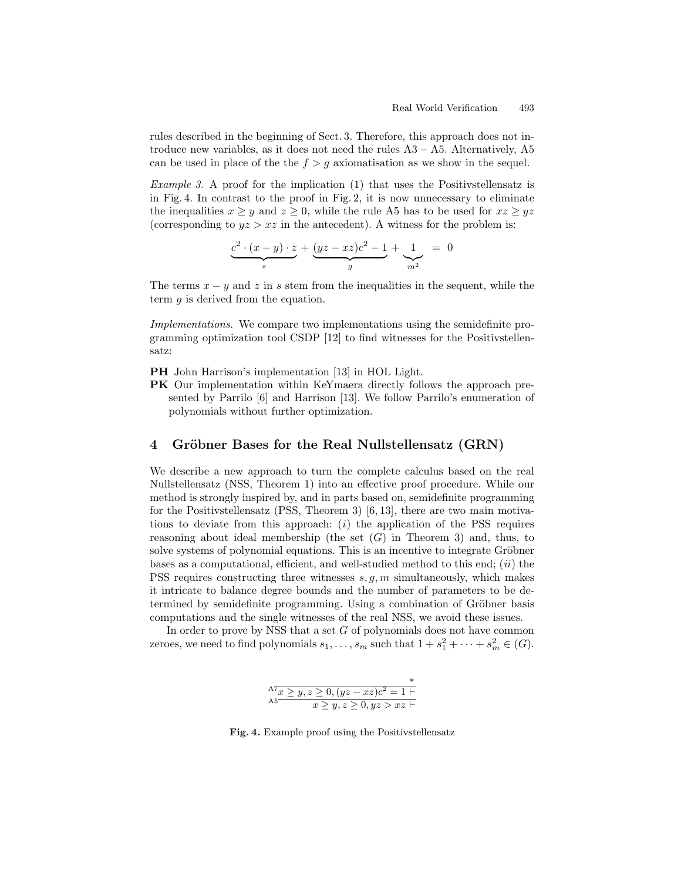rules described in the beginning of Sect. 3. Therefore, this approach does not introduce new variables, as it does not need the rules  $A3 - A5$ . Alternatively,  $A5$ can be used in place of the the  $f > g$  axiomatisation as we show in the sequel.

Example 3. A proof for the implication (1) that uses the Positivstellensatz is in Fig. 4. In contrast to the proof in Fig. 2, it is now unnecessary to eliminate the inequalities  $x \geq y$  and  $z \geq 0$ , while the rule A5 has to be used for  $xz \geq yz$ (corresponding to  $yz > xz$  in the antecedent). A witness for the problem is:

$$
\underbrace{c^2 \cdot (x-y) \cdot z}_{s} + \underbrace{(yz-xz)c^2 - 1}_{g} + \underbrace{1}_{m^2} = 0
$$

The terms  $x - y$  and z in s stem from the inequalities in the sequent, while the term  $q$  is derived from the equation.

Implementations. We compare two implementations using the semidefinite programming optimization tool CSDP [12] to find witnesses for the Positivstellensatz:

PH John Harrison's implementation [13] in HOL Light.

PK Our implementation within KeYmaera directly follows the approach presented by Parrilo [6] and Harrison [13]. We follow Parrilo's enumeration of polynomials without further optimization.

### 4 Gröbner Bases for the Real Nullstellensatz (GRN)

We describe a new approach to turn the complete calculus based on the real Nullstellensatz (NSS, Theorem 1) into an effective proof procedure. While our method is strongly inspired by, and in parts based on, semidefinite programming for the Positivstellensatz (PSS, Theorem 3) [6, 13], there are two main motivations to deviate from this approach:  $(i)$  the application of the PSS requires reasoning about ideal membership (the set  $(G)$  in Theorem 3) and, thus, to solve systems of polynomial equations. This is an incentive to integrate Gröbner bases as a computational, efficient, and well-studied method to this end;  $(ii)$  the PSS requires constructing three witnesses  $s, g, m$  simultaneously, which makes it intricate to balance degree bounds and the number of parameters to be determined by semidefinite programming. Using a combination of Gröbner basis computations and the single witnesses of the real NSS, we avoid these issues.

In order to prove by NSS that a set  $G$  of polynomials does not have common zeroes, we need to find polynomials  $s_1, \ldots, s_m$  such that  $1 + s_1^2 + \cdots + s_m^2 \in (G)$ .

| $A^7 x \ge y, z \ge 0, (yz - xz)c^2 = 1$ |  |
|------------------------------------------|--|
| $x \geq y, z \geq 0, yz > xz$            |  |

Fig. 4. Example proof using the Positivstellensatz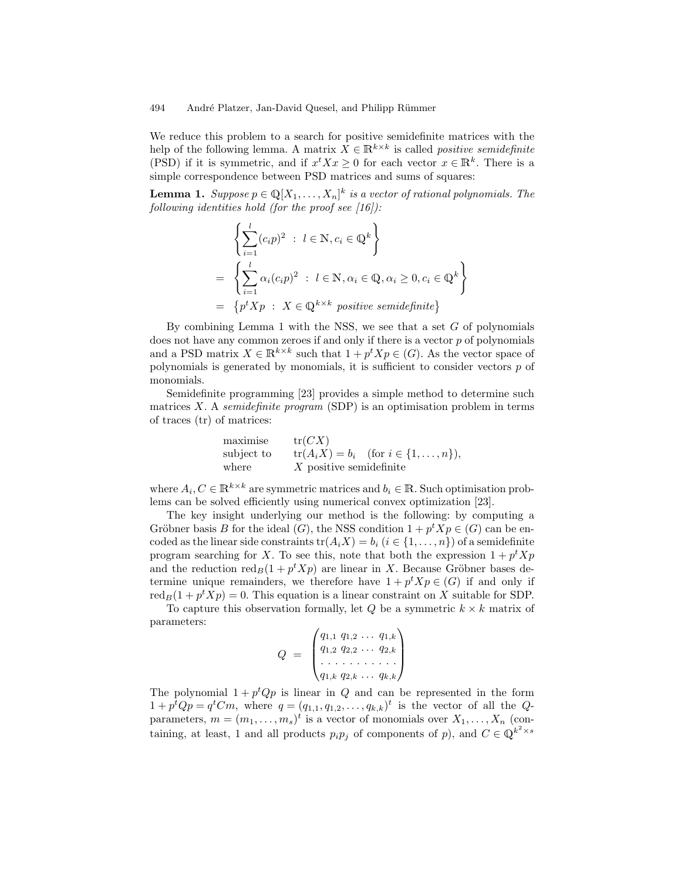We reduce this problem to a search for positive semidefinite matrices with the help of the following lemma. A matrix  $X \in \mathbb{R}^{k \times k}$  is called *positive semidefinite* (PSD) if it is symmetric, and if  $x^t X x \geq 0$  for each vector  $x \in \mathbb{R}^k$ . There is a simple correspondence between PSD matrices and sums of squares:

**Lemma 1.** Suppose  $p \in \mathbb{Q}[X_1, \ldots, X_n]^k$  is a vector of rational polynomials. The following identities hold (for the proof see  $(16)$ ):

$$
\left\{\sum_{i=1}^{l} (c_i p)^2 : l \in \mathbb{N}, c_i \in \mathbb{Q}^k\right\}
$$
  
= 
$$
\left\{\sum_{i=1}^{l} \alpha_i (c_i p)^2 : l \in \mathbb{N}, \alpha_i \in \mathbb{Q}, \alpha_i \geq 0, c_i \in \mathbb{Q}^k\right\}
$$
  
= 
$$
\left\{p^t X p : X \in \mathbb{Q}^{k \times k} \text{ positive semidefinite}\right\}
$$

By combining Lemma 1 with the NSS, we see that a set  $G$  of polynomials does not have any common zeroes if and only if there is a vector  $p$  of polynomials and a PSD matrix  $X \in \mathbb{R}^{k \times k}$  such that  $1 + p^t X p \in (G)$ . As the vector space of polynomials is generated by monomials, it is sufficient to consider vectors  $p$  of monomials.

Semidefinite programming [23] provides a simple method to determine such matrices X. A semidefinite program (SDP) is an optimisation problem in terms of traces (tr) of matrices:

| maximise   | tr(CX)                                       |
|------------|----------------------------------------------|
| subject to | $tr(A_i X) = b_i$ (for $i \in \{1, , n\}$ ), |
| where      | $X$ positive semidefinite                    |

where  $A_i, C \in \mathbb{R}^{k \times k}$  are symmetric matrices and  $b_i \in \mathbb{R}$ . Such optimisation problems can be solved efficiently using numerical convex optimization [23].

The key insight underlying our method is the following: by computing a Gröbner basis B for the ideal  $(G)$ , the NSS condition  $1 + p^t X p \in G$  can be encoded as the linear side constraints  $tr(A_iX) = b_i$   $(i \in \{1, ..., n\})$  of a semidefinite program searching for X. To see this, note that both the expression  $1 + p^t X p$ and the reduction  $\text{red}_B(1 + p^t X p)$  are linear in X. Because Gröbner bases determine unique remainders, we therefore have  $1 + p^t X p \in (G)$  if and only if red<sub>B</sub> $(1 + p^t X p) = 0$ . This equation is a linear constraint on X suitable for SDP.

To capture this observation formally, let  $Q$  be a symmetric  $k \times k$  matrix of parameters:

$$
Q = \begin{pmatrix} q_{1,1} & q_{1,2} & \dots & q_{1,k} \\ q_{1,2} & q_{2,2} & \dots & q_{2,k} \\ \dots & \dots & \dots & \dots \\ q_{1,k} & q_{2,k} & \dots & q_{k,k} \end{pmatrix}
$$

The polynomial  $1 + p^t Q p$  is linear in Q and can be represented in the form  $1 + p^t Q p = q^t C m$ , where  $q = (q_{1,1}, q_{1,2}, \ldots, q_{k,k})^t$  is the vector of all the Qparameters,  $m = (m_1, \ldots, m_s)^t$  is a vector of monomials over  $X_1, \ldots, X_n$  (containing, at least, 1 and all products  $p_i p_j$  of components of p), and  $C \in \mathbb{Q}^{k^2 \times s}$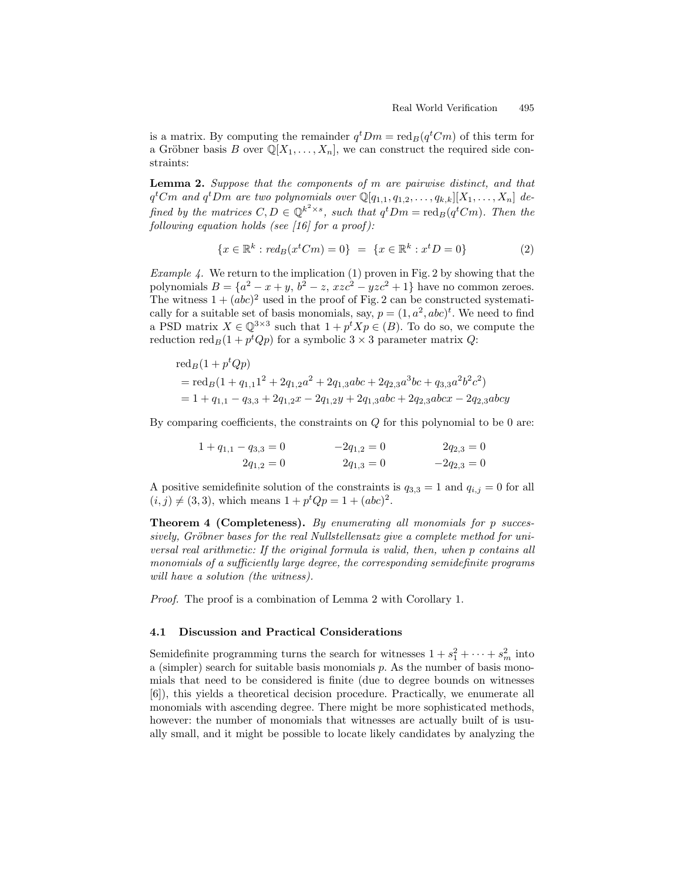is a matrix. By computing the remainder  $q^t D m = \text{red}_B(q^t C m)$  of this term for a Gröbner basis B over  $\mathbb{Q}[X_1,\ldots,X_n]$ , we can construct the required side constraints:

**Lemma 2.** Suppose that the components of  $m$  are pairwise distinct, and that  $q^tCm$  and  $q^tDm$  are two polynomials over  $\mathbb{Q}[q_{1,1}, q_{1,2}, \ldots, q_{k,k}][X_1, \ldots, X_n]$  defined by the matrices  $C, D \in \mathbb{Q}^{k^2 \times s}$ , such that  $q^t Dm = \text{red}_B(q^t Cm)$ . Then the following equation holds (see  $[16]$  for a proof):

$$
\{x \in \mathbb{R}^k : red_B(x^t C m) = 0\} = \{x \in \mathbb{R}^k : x^t D = 0\}
$$
 (2)

*Example 4.* We return to the implication  $(1)$  proven in Fig. 2 by showing that the polynomials  $B = \{a^2 - x + y, b^2 - z, xzc^2 - yzc^2 + 1\}$  have no common zeroes. The witness  $1 + (abc)^2$  used in the proof of Fig. 2 can be constructed systematically for a suitable set of basis monomials, say,  $p = (1, a^2, abc)^t$ . We need to find a PSD matrix  $X \in \mathbb{Q}^{3 \times 3}$  such that  $1 + p^t X p \in (B)$ . To do so, we compute the reduction  $\text{red}_B(1 + p^t Q p)$  for a symbolic  $3 \times 3$  parameter matrix  $Q$ :

$$
red_B(1 + ptQp)
$$
  
= red\_B(1 + q<sub>1,1</sub>1<sup>2</sup> + 2q<sub>1,2</sub>a<sup>2</sup> + 2q<sub>1,3</sub>abc + 2q<sub>2,3</sub>a<sup>3</sup>bc + q<sub>3,3</sub>a<sup>2</sup>b<sup>2</sup>c<sup>2</sup>)  
= 1 + q<sub>1,1</sub> - q<sub>3,3</sub> + 2q<sub>1,2</sub>x - 2q<sub>1,2</sub>y + 2q<sub>1,3</sub>abc + 2q<sub>2,3</sub>abcx - 2q<sub>2,3</sub>abcy

By comparing coefficients, the constraints on  $Q$  for this polynomial to be 0 are:

$$
1 + q_{1,1} - q_{3,3} = 0
$$
  
\n
$$
2q_{1,2} = 0
$$
  
\n
$$
2q_{1,3} = 0
$$
  
\n
$$
2q_{2,3} = 0
$$
  
\n
$$
2q_{2,3} = 0
$$
  
\n
$$
2q_{2,3} = 0
$$

A positive semidefinite solution of the constraints is  $q_{3,3} = 1$  and  $q_{i,j} = 0$  for all  $(i, j) \neq (3, 3)$ , which means  $1 + p^t Q p = 1 + (abc)^2$ .

Theorem 4 (Completeness). By enumerating all monomials for p successively, Gröbner bases for the real Nullstellensatz give a complete method for universal real arithmetic: If the original formula is valid, then, when p contains all monomials of a sufficiently large degree, the corresponding semidefinite programs will have a solution (the witness).

Proof. The proof is a combination of Lemma 2 with Corollary 1.

### 4.1 Discussion and Practical Considerations

Semidefinite programming turns the search for witnesses  $1 + s_1^2 + \cdots + s_m^2$  into a (simpler) search for suitable basis monomials  $p$ . As the number of basis monomials that need to be considered is finite (due to degree bounds on witnesses [6]), this yields a theoretical decision procedure. Practically, we enumerate all monomials with ascending degree. There might be more sophisticated methods, however: the number of monomials that witnesses are actually built of is usually small, and it might be possible to locate likely candidates by analyzing the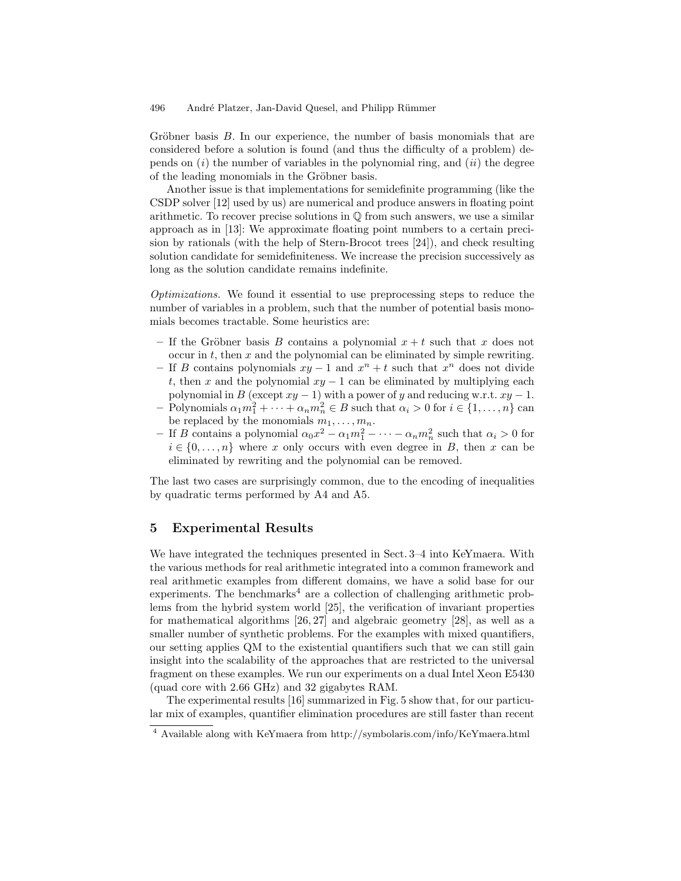Gröbner basis  $B$ . In our experience, the number of basis monomials that are considered before a solution is found (and thus the difficulty of a problem) depends on  $(i)$  the number of variables in the polynomial ring, and  $(ii)$  the degree of the leading monomials in the Gröbner basis.

Another issue is that implementations for semidefinite programming (like the CSDP solver [12] used by us) are numerical and produce answers in floating point arithmetic. To recover precise solutions in  $\mathbb{O}$  from such answers, we use a similar approach as in [13]: We approximate floating point numbers to a certain precision by rationals (with the help of Stern-Brocot trees [24]), and check resulting solution candidate for semidefiniteness. We increase the precision successively as long as the solution candidate remains indefinite.

Optimizations. We found it essential to use preprocessing steps to reduce the number of variables in a problem, such that the number of potential basis monomials becomes tractable. Some heuristics are:

- If the Gröbner basis B contains a polynomial  $x + t$  such that x does not occur in  $t$ , then  $x$  and the polynomial can be eliminated by simple rewriting.
- If B contains polynomials  $xy 1$  and  $x^n + t$  such that  $x^n$  does not divide t, then x and the polynomial  $xy - 1$  can be eliminated by multiplying each polynomial in B (except  $xy - 1$ ) with a power of y and reducing w.r.t.  $xy - 1$ .
- Polynomials  $\alpha_1 m_1^2 + \cdots + \alpha_n m_n^2 \in B$  such that  $\alpha_i > 0$  for  $i \in \{1, \ldots, n\}$  can be replaced by the monomials  $m_1, \ldots, m_n$ .
- If B contains a polynomial  $\alpha_0 x^2 \alpha_1 m_1^2 \cdots \alpha_n m_n^2$  such that  $\alpha_i > 0$  for  $i \in \{0, \ldots, n\}$  where x only occurs with even degree in B, then x can be eliminated by rewriting and the polynomial can be removed.

The last two cases are surprisingly common, due to the encoding of inequalities by quadratic terms performed by A4 and A5.

### 5 Experimental Results

We have integrated the techniques presented in Sect. 3–4 into KeYmaera. With the various methods for real arithmetic integrated into a common framework and real arithmetic examples from different domains, we have a solid base for our  $experiments.$  The benchmarks<sup>4</sup> are a collection of challenging arithmetic problems from the hybrid system world [25], the verification of invariant properties for mathematical algorithms [26, 27] and algebraic geometry [28], as well as a smaller number of synthetic problems. For the examples with mixed quantifiers, our setting applies QM to the existential quantifiers such that we can still gain insight into the scalability of the approaches that are restricted to the universal fragment on these examples. We run our experiments on a dual Intel Xeon E5430 (quad core with 2.66 GHz) and 32 gigabytes RAM.

The experimental results [16] summarized in Fig. 5 show that, for our particular mix of examples, quantifier elimination procedures are still faster than recent

<sup>4</sup> Available along with KeYmaera from http://symbolaris.com/info/KeYmaera.html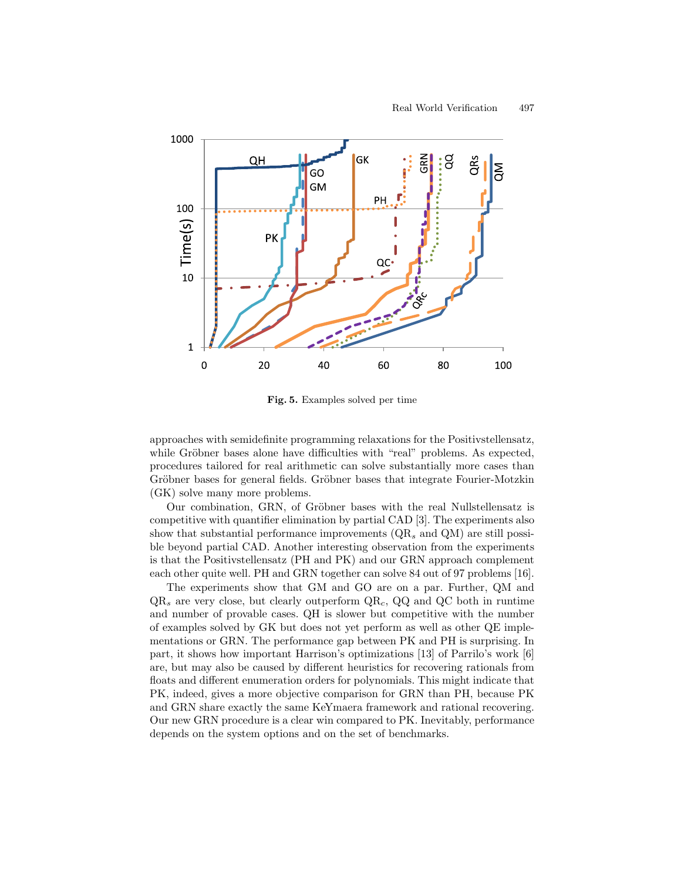

Fig. 5. Examples solved per time

approaches with semidefinite programming relaxations for the Positivstellensatz, while Gröbner bases alone have difficulties with "real" problems. As expected, procedures tailored for real arithmetic can solve substantially more cases than Gröbner bases for general fields. Gröbner bases that integrate Fourier-Motzkin (GK) solve many more problems.

Our combination, GRN, of Gröbner bases with the real Nullstellensatz is competitive with quantifier elimination by partial CAD [3]. The experiments also show that substantial performance improvements  $(QR_s \text{ and } QM)$  are still possible beyond partial CAD. Another interesting observation from the experiments is that the Positivstellensatz (PH and PK) and our GRN approach complement each other quite well. PH and GRN together can solve 84 out of 97 problems [16].

The experiments show that GM and GO are on a par. Further, QM and  $QR_s$  are very close, but clearly outperform  $QR_c$ ,  $QQ$  and  $QC$  both in runtime and number of provable cases. QH is slower but competitive with the number of examples solved by GK but does not yet perform as well as other QE implementations or GRN. The performance gap between PK and PH is surprising. In part, it shows how important Harrison's optimizations [13] of Parrilo's work [6] are, but may also be caused by different heuristics for recovering rationals from floats and different enumeration orders for polynomials. This might indicate that PK, indeed, gives a more objective comparison for GRN than PH, because PK and GRN share exactly the same KeYmaera framework and rational recovering. Our new GRN procedure is a clear win compared to PK. Inevitably, performance depends on the system options and on the set of benchmarks.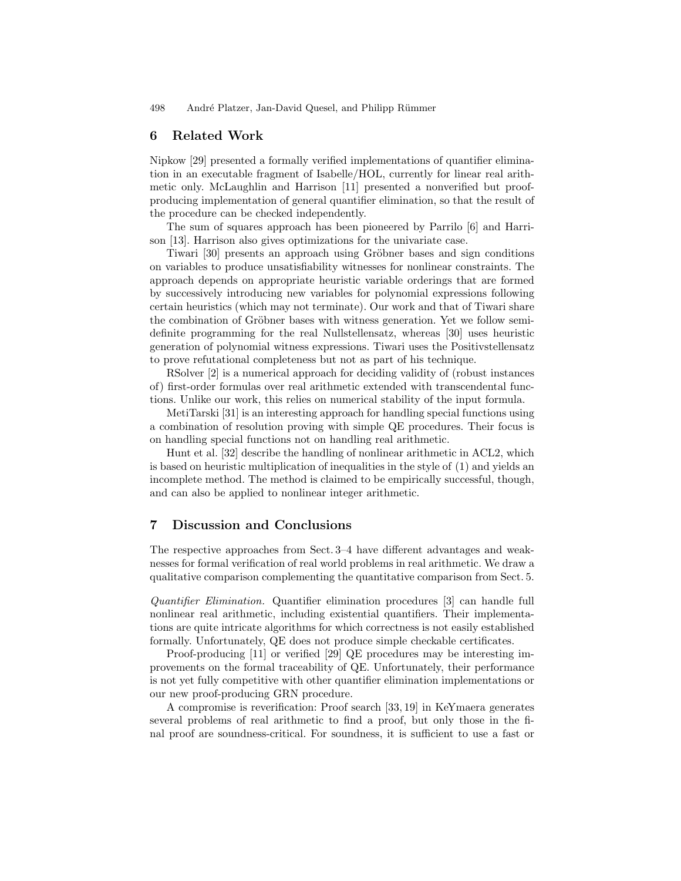### 6 Related Work

Nipkow [29] presented a formally verified implementations of quantifier elimination in an executable fragment of Isabelle/HOL, currently for linear real arithmetic only. McLaughlin and Harrison [11] presented a nonverified but proofproducing implementation of general quantifier elimination, so that the result of the procedure can be checked independently.

The sum of squares approach has been pioneered by Parrilo [6] and Harrison [13]. Harrison also gives optimizations for the univariate case.

Tiwari [30] presents an approach using Gröbner bases and sign conditions on variables to produce unsatisfiability witnesses for nonlinear constraints. The approach depends on appropriate heuristic variable orderings that are formed by successively introducing new variables for polynomial expressions following certain heuristics (which may not terminate). Our work and that of Tiwari share the combination of Gröbner bases with witness generation. Yet we follow semidefinite programming for the real Nullstellensatz, whereas [30] uses heuristic generation of polynomial witness expressions. Tiwari uses the Positivstellensatz to prove refutational completeness but not as part of his technique.

RSolver [2] is a numerical approach for deciding validity of (robust instances of) first-order formulas over real arithmetic extended with transcendental functions. Unlike our work, this relies on numerical stability of the input formula.

MetiTarski [31] is an interesting approach for handling special functions using a combination of resolution proving with simple QE procedures. Their focus is on handling special functions not on handling real arithmetic.

Hunt et al. [32] describe the handling of nonlinear arithmetic in ACL2, which is based on heuristic multiplication of inequalities in the style of (1) and yields an incomplete method. The method is claimed to be empirically successful, though, and can also be applied to nonlinear integer arithmetic.

# 7 Discussion and Conclusions

The respective approaches from Sect. 3–4 have different advantages and weaknesses for formal verification of real world problems in real arithmetic. We draw a qualitative comparison complementing the quantitative comparison from Sect. 5.

Quantifier Elimination. Quantifier elimination procedures [3] can handle full nonlinear real arithmetic, including existential quantifiers. Their implementations are quite intricate algorithms for which correctness is not easily established formally. Unfortunately, QE does not produce simple checkable certificates.

Proof-producing [11] or verified [29] QE procedures may be interesting improvements on the formal traceability of QE. Unfortunately, their performance is not yet fully competitive with other quantifier elimination implementations or our new proof-producing GRN procedure.

A compromise is reverification: Proof search [33, 19] in KeYmaera generates several problems of real arithmetic to find a proof, but only those in the final proof are soundness-critical. For soundness, it is sufficient to use a fast or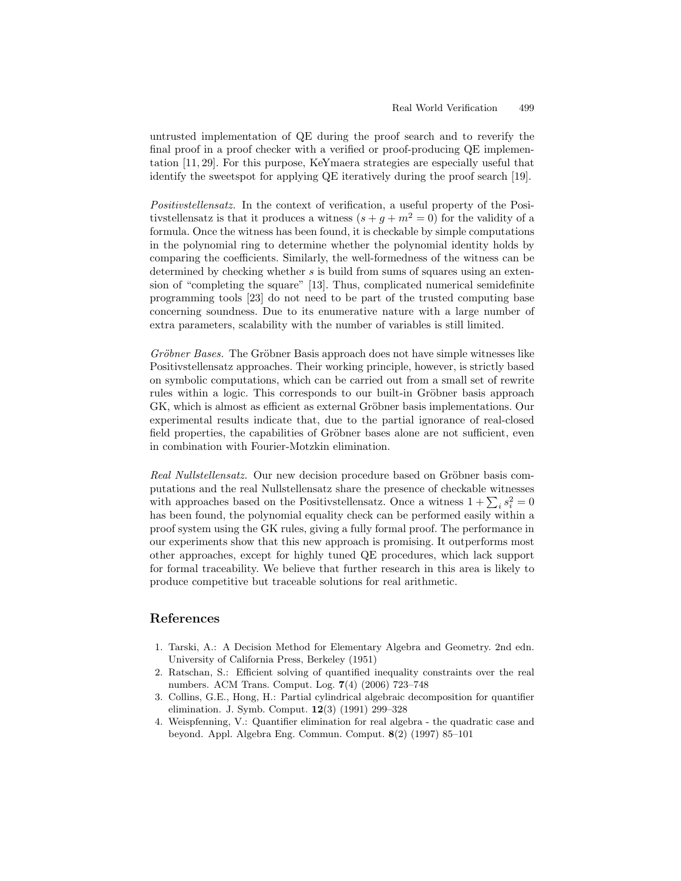untrusted implementation of QE during the proof search and to reverify the final proof in a proof checker with a verified or proof-producing QE implementation [11, 29]. For this purpose, KeYmaera strategies are especially useful that identify the sweetspot for applying QE iteratively during the proof search [19].

Positivstellensatz. In the context of verification, a useful property of the Positivstellensatz is that it produces a witness  $(s + g + m^2 = 0)$  for the validity of a formula. Once the witness has been found, it is checkable by simple computations in the polynomial ring to determine whether the polynomial identity holds by comparing the coefficients. Similarly, the well-formedness of the witness can be determined by checking whether s is build from sums of squares using an extension of "completing the square" [13]. Thus, complicated numerical semidefinite programming tools [23] do not need to be part of the trusted computing base concerning soundness. Due to its enumerative nature with a large number of extra parameters, scalability with the number of variables is still limited.

Gröbner Bases. The Gröbner Basis approach does not have simple witnesses like Positivstellensatz approaches. Their working principle, however, is strictly based on symbolic computations, which can be carried out from a small set of rewrite rules within a logic. This corresponds to our built-in Gröbner basis approach GK, which is almost as efficient as external Gröbner basis implementations. Our experimental results indicate that, due to the partial ignorance of real-closed field properties, the capabilities of Gröbner bases alone are not sufficient, even in combination with Fourier-Motzkin elimination.

Real Nullstellensatz. Our new decision procedure based on Gröbner basis computations and the real Nullstellensatz share the presence of checkable witnesses with approaches based on the Positivstellensatz. Once a witness  $1 + \sum_i s_i^2 = 0$ has been found, the polynomial equality check can be performed easily within a proof system using the GK rules, giving a fully formal proof. The performance in our experiments show that this new approach is promising. It outperforms most other approaches, except for highly tuned QE procedures, which lack support for formal traceability. We believe that further research in this area is likely to produce competitive but traceable solutions for real arithmetic.

# References

- 1. Tarski, A.: A Decision Method for Elementary Algebra and Geometry. 2nd edn. University of California Press, Berkeley (1951)
- 2. Ratschan, S.: Efficient solving of quantified inequality constraints over the real numbers. ACM Trans. Comput. Log. 7(4) (2006) 723–748
- 3. Collins, G.E., Hong, H.: Partial cylindrical algebraic decomposition for quantifier elimination. J. Symb. Comput. 12(3) (1991) 299–328
- 4. Weispfenning, V.: Quantifier elimination for real algebra the quadratic case and beyond. Appl. Algebra Eng. Commun. Comput. 8(2) (1997) 85–101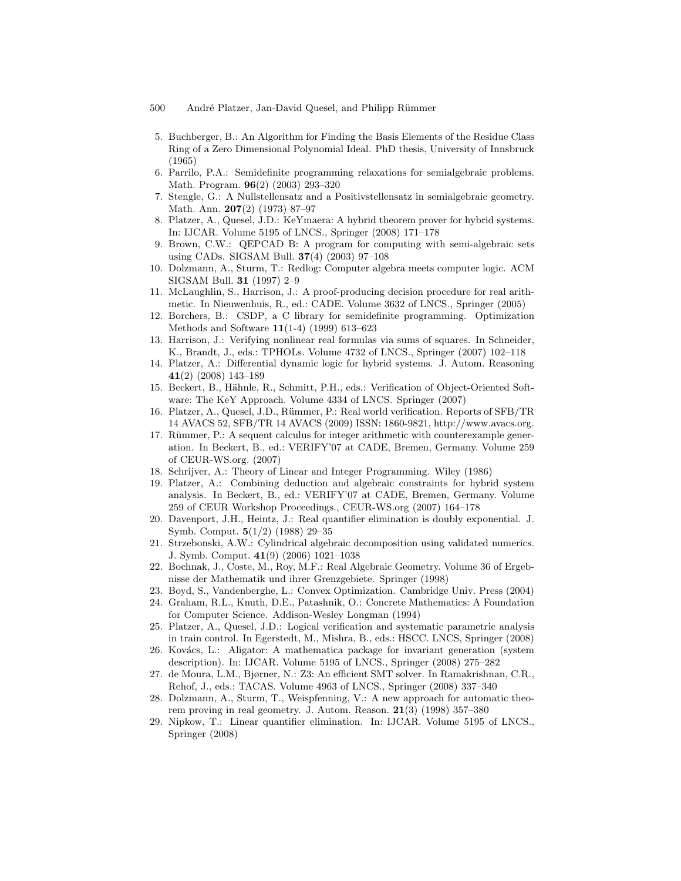- 500 André Platzer, Jan-David Quesel, and Philipp Rümmer
- 5. Buchberger, B.: An Algorithm for Finding the Basis Elements of the Residue Class Ring of a Zero Dimensional Polynomial Ideal. PhD thesis, University of Innsbruck (1965)
- 6. Parrilo, P.A.: Semidefinite programming relaxations for semialgebraic problems. Math. Program. 96(2) (2003) 293–320
- 7. Stengle, G.: A Nullstellensatz and a Positivstellensatz in semialgebraic geometry. Math. Ann. 207(2) (1973) 87–97
- 8. Platzer, A., Quesel, J.D.: KeYmaera: A hybrid theorem prover for hybrid systems. In: IJCAR. Volume 5195 of LNCS., Springer (2008) 171–178
- 9. Brown, C.W.: QEPCAD B: A program for computing with semi-algebraic sets using CADs. SIGSAM Bull. 37(4) (2003) 97–108
- 10. Dolzmann, A., Sturm, T.: Redlog: Computer algebra meets computer logic. ACM SIGSAM Bull. 31 (1997) 2–9
- 11. McLaughlin, S., Harrison, J.: A proof-producing decision procedure for real arithmetic. In Nieuwenhuis, R., ed.: CADE. Volume 3632 of LNCS., Springer (2005)
- 12. Borchers, B.: CSDP, a C library for semidefinite programming. Optimization Methods and Software 11(1-4) (1999) 613–623
- 13. Harrison, J.: Verifying nonlinear real formulas via sums of squares. In Schneider, K., Brandt, J., eds.: TPHOLs. Volume 4732 of LNCS., Springer (2007) 102–118
- 14. Platzer, A.: Differential dynamic logic for hybrid systems. J. Autom. Reasoning 41(2) (2008) 143–189
- 15. Beckert, B., Hähnle, R., Schmitt, P.H., eds.: Verification of Object-Oriented Software: The KeY Approach. Volume 4334 of LNCS. Springer (2007)
- 16. Platzer, A., Quesel, J.D., Rümmer, P.: Real world verification. Reports of SFB/TR 14 AVACS 52, SFB/TR 14 AVACS (2009) ISSN: 1860-9821, http://www.avacs.org.
- 17. Rümmer, P.: A sequent calculus for integer arithmetic with counterexample generation. In Beckert, B., ed.: VERIFY'07 at CADE, Bremen, Germany. Volume 259 of CEUR-WS.org. (2007)
- 18. Schrijver, A.: Theory of Linear and Integer Programming. Wiley (1986)
- 19. Platzer, A.: Combining deduction and algebraic constraints for hybrid system analysis. In Beckert, B., ed.: VERIFY'07 at CADE, Bremen, Germany. Volume 259 of CEUR Workshop Proceedings., CEUR-WS.org (2007) 164–178
- 20. Davenport, J.H., Heintz, J.: Real quantifier elimination is doubly exponential. J. Symb. Comput. 5(1/2) (1988) 29–35
- 21. Strzebonski, A.W.: Cylindrical algebraic decomposition using validated numerics. J. Symb. Comput. 41(9) (2006) 1021–1038
- 22. Bochnak, J., Coste, M., Roy, M.F.: Real Algebraic Geometry. Volume 36 of Ergebnisse der Mathematik und ihrer Grenzgebiete. Springer (1998)
- 23. Boyd, S., Vandenberghe, L.: Convex Optimization. Cambridge Univ. Press (2004)
- 24. Graham, R.L., Knuth, D.E., Patashnik, O.: Concrete Mathematics: A Foundation for Computer Science. Addison-Wesley Longman (1994)
- 25. Platzer, A., Quesel, J.D.: Logical verification and systematic parametric analysis in train control. In Egerstedt, M., Mishra, B., eds.: HSCC. LNCS, Springer (2008)
- 26. Kovács, L.: Aligator: A mathematica package for invariant generation (system description). In: IJCAR. Volume 5195 of LNCS., Springer (2008) 275–282
- 27. de Moura, L.M., Bjørner, N.: Z3: An efficient SMT solver. In Ramakrishnan, C.R., Rehof, J., eds.: TACAS. Volume 4963 of LNCS., Springer (2008) 337–340
- 28. Dolzmann, A., Sturm, T., Weispfenning, V.: A new approach for automatic theorem proving in real geometry. J. Autom. Reason.  $21(3)$  (1998) 357-380
- 29. Nipkow, T.: Linear quantifier elimination. In: IJCAR. Volume 5195 of LNCS., Springer (2008)